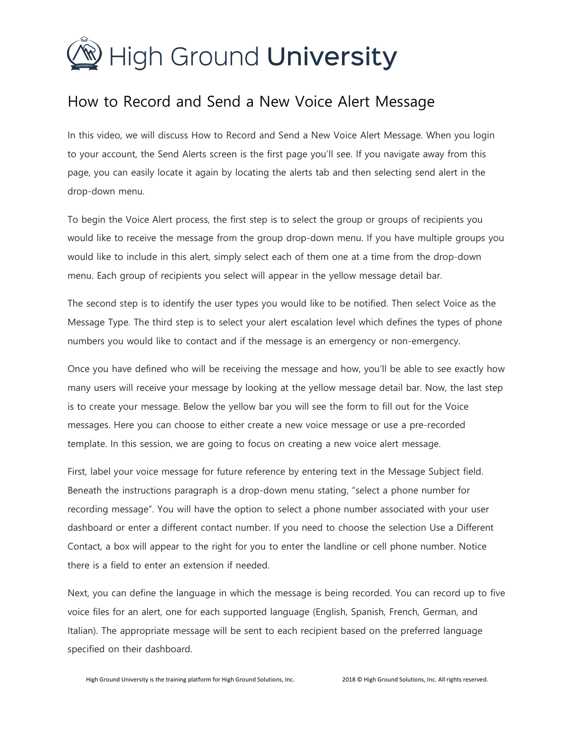

## How to Record and Send a New Voice Alert Message

In this video, we will discuss How to Record and Send a New Voice Alert Message. When you login to your account, the Send Alerts screen is the first page you'll see. If you navigate away from this page, you can easily locate it again by locating the alerts tab and then selecting send alert in the drop-down menu.

To begin the Voice Alert process, the first step is to select the group or groups of recipients you would like to receive the message from the group drop-down menu. If you have multiple groups you would like to include in this alert, simply select each of them one at a time from the drop-down menu. Each group of recipients you select will appear in the yellow message detail bar.

The second step is to identify the user types you would like to be notified. Then select Voice as the Message Type. The third step is to select your alert escalation level which defines the types of phone numbers you would like to contact and if the message is an emergency or non-emergency.

Once you have defined who will be receiving the message and how, you'll be able to see exactly how many users will receive your message by looking at the yellow message detail bar. Now, the last step is to create your message. Below the yellow bar you will see the form to fill out for the Voice messages. Here you can choose to either create a new voice message or use a pre-recorded template. In this session, we are going to focus on creating a new voice alert message.

First, label your voice message for future reference by entering text in the Message Subject field. Beneath the instructions paragraph is a drop-down menu stating, "select a phone number for recording message". You will have the option to select a phone number associated with your user dashboard or enter a different contact number. If you need to choose the selection Use a Different Contact, a box will appear to the right for you to enter the landline or cell phone number. Notice there is a field to enter an extension if needed.

Next, you can define the language in which the message is being recorded. You can record up to five voice files for an alert, one for each supported language (English, Spanish, French, German, and Italian). The appropriate message will be sent to each recipient based on the preferred language specified on their dashboard.